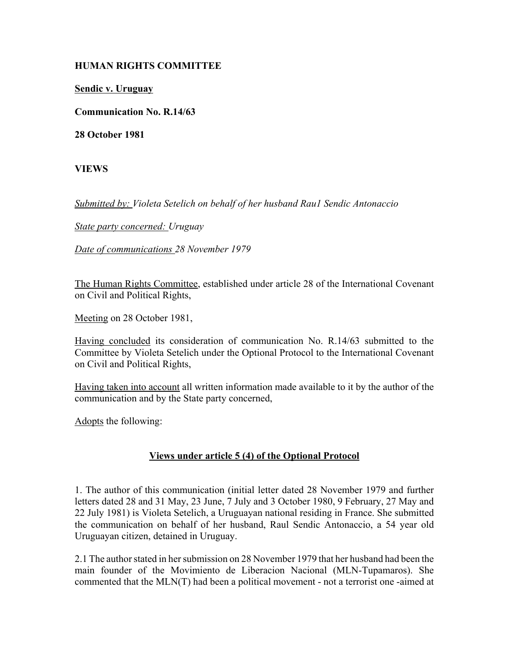## **HUMAN RIGHTS COMMITTEE**

**Sendic v. Uruguay**

**Communication No. R.14/63**

**28 October 1981**

**VIEWS**

*Submitted by: Violeta Setelich on behalf of her husband Rau1 Sendic Antonaccio* 

*State party concerned: Uruguay* 

*Date of communications 28 November 1979* 

The Human Rights Committee, established under article 28 of the International Covenant on Civil and Political Rights,

Meeting on 28 October 1981,

Having concluded its consideration of communication No. R.14/63 submitted to the Committee by Violeta Setelich under the Optional Protocol to the International Covenant on Civil and Political Rights,

Having taken into account all written information made available to it by the author of the communication and by the State party concerned,

Adopts the following:

## **Views under article 5 (4) of the Optional Protocol**

1. The author of this communication (initial letter dated 28 November 1979 and further letters dated 28 and 31 May, 23 June, 7 July and 3 October 1980, 9 February, 27 May and 22 July 1981) is Violeta Setelich, a Uruguayan national residing in France. She submitted the communication on behalf of her husband, Raul Sendic Antonaccio, a 54 year old Uruguayan citizen, detained in Uruguay.

2.1 The author stated in her submission on 28 November 1979 that her husband had been the main founder of the Movimiento de Liberacion Nacional (MLN-Tupamaros). She commented that the MLN(T) had been a political movement - not a terrorist one -aimed at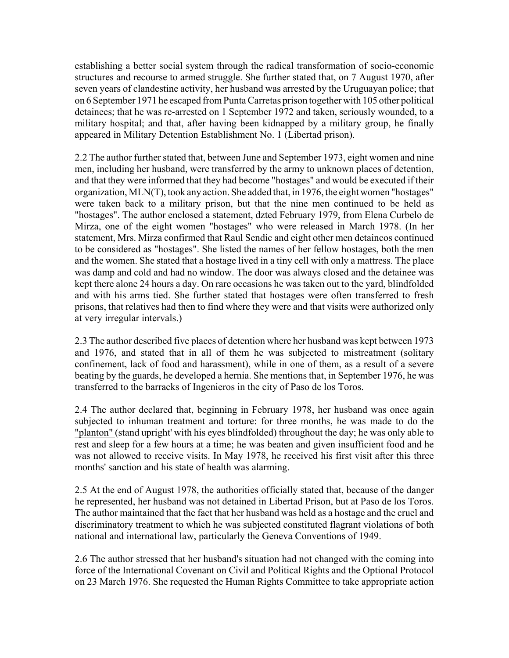establishing a better social system through the radical transformation of socio-economic structures and recourse to armed struggle. She further stated that, on 7 August 1970, after seven years of clandestine activity, her husband was arrested by the Uruguayan police; that on 6 September 1971 he escaped from Punta Carretas prison together with 105 other political detainees; that he was re-arrested on 1 September 1972 and taken, seriously wounded, to a military hospital; and that, after having been kidnapped by a military group, he finally appeared in Military Detention Establishment No. 1 (Libertad prison).

2.2 The author further stated that, between June and September 1973, eight women and nine men, including her husband, were transferred by the army to unknown places of detention, and that they were informed that they had become "hostages" and would be executed if their organization, MLN(T), took any action. She added that, in 1976, the eight women "hostages" were taken back to a military prison, but that the nine men continued to be held as "hostages". The author enclosed a statement, dzted February 1979, from Elena Curbelo de Mirza, one of the eight women "hostages" who were released in March 1978. (In her statement, Mrs. Mirza confirmed that Raul Sendic and eight other men detaincos continued to be considered as "hostages". She listed the names of her fellow hostages, both the men and the women. She stated that a hostage lived in a tiny cell with only a mattress. The place was damp and cold and had no window. The door was always closed and the detainee was kept there alone 24 hours a day. On rare occasions he was taken out to the yard, blindfolded and with his arms tied. She further stated that hostages were often transferred to fresh prisons, that relatives had then to find where they were and that visits were authorized only at very irregular intervals.)

2.3 The author described five places of detention where her husband was kept between 1973 and 1976, and stated that in all of them he was subjected to mistreatment (solitary confinement, lack of food and harassment), while in one of them, as a result of a severe beating by the guards, he developed a hernia. She mentions that, in September 1976, he was transferred to the barracks of Ingenieros in the city of Paso de los Toros.

2.4 The author declared that, beginning in February 1978, her husband was once again subjected to inhuman treatment and torture: for three months, he was made to do the "planton" (stand upright' with his eyes blindfolded) throughout the day; he was only able to rest and sleep for a few hours at a time; he was beaten and given insufficient food and he was not allowed to receive visits. In May 1978, he received his first visit after this three months' sanction and his state of health was alarming.

2.5 At the end of August 1978, the authorities officially stated that, because of the danger he represented, her husband was not detained in Libertad Prison, but at Paso de los Toros. The author maintained that the fact that her husband was held as a hostage and the cruel and discriminatory treatment to which he was subjected constituted flagrant violations of both national and international law, particularly the Geneva Conventions of 1949.

2.6 The author stressed that her husband's situation had not changed with the coming into force of the International Covenant on Civil and Political Rights and the Optional Protocol on 23 March 1976. She requested the Human Rights Committee to take appropriate action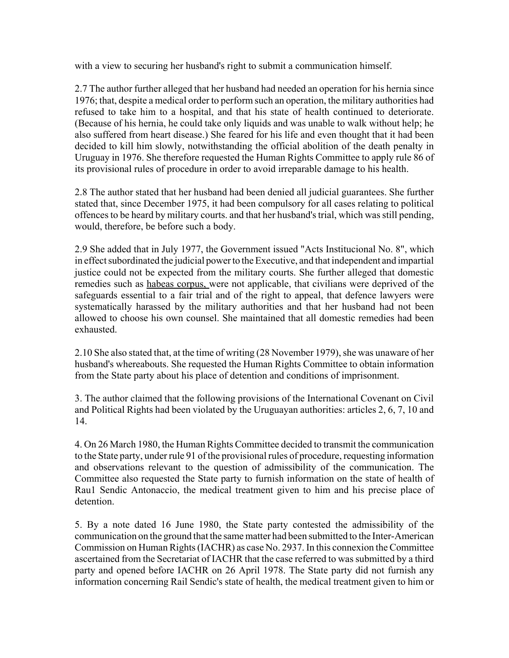with a view to securing her husband's right to submit a communication himself.

2.7 The author further alleged that her husband had needed an operation for his hernia since 1976; that, despite a medical order to perform such an operation, the military authorities had refused to take him to a hospital, and that his state of health continued to deteriorate. (Because of his hernia, he could take only liquids and was unable to walk without help; he also suffered from heart disease.) She feared for his life and even thought that it had been decided to kill him slowly, notwithstanding the official abolition of the death penalty in Uruguay in 1976. She therefore requested the Human Rights Committee to apply rule 86 of its provisional rules of procedure in order to avoid irreparable damage to his health.

2.8 The author stated that her husband had been denied all judicial guarantees. She further stated that, since December 1975, it had been compulsory for all cases relating to political offences to be heard by military courts. and that her husband's trial, which was still pending, would, therefore, be before such a body.

2.9 She added that in July 1977, the Government issued "Acts Institucional No. 8", which in effect subordinated the judicial power to the Executive, and that independent and impartial justice could not be expected from the military courts. She further alleged that domestic remedies such as habeas corpus, were not applicable, that civilians were deprived of the safeguards essential to a fair trial and of the right to appeal, that defence lawyers were systematically harassed by the military authorities and that her husband had not been allowed to choose his own counsel. She maintained that all domestic remedies had been exhausted.

2.10 She also stated that, at the time of writing (28 November 1979), she was unaware of her husband's whereabouts. She requested the Human Rights Committee to obtain information from the State party about his place of detention and conditions of imprisonment.

3. The author claimed that the following provisions of the International Covenant on Civil and Political Rights had been violated by the Uruguayan authorities: articles 2, 6, 7, 10 and 14.

4. On 26 March 1980, the Human Rights Committee decided to transmit the communication to the State party, under rule 91 of the provisional rules of procedure, requesting information and observations relevant to the question of admissibility of the communication. The Committee also requested the State party to furnish information on the state of health of Rau1 Sendic Antonaccio, the medical treatment given to him and his precise place of detention.

5. By a note dated 16 June 1980, the State party contested the admissibility of the communication on the ground that the same matter had been submitted to the Inter-American Commission on Human Rights (IACHR) as case No. 2937. In this connexion the Committee ascertained from the Secretariat of IACHR that the case referred to was submitted by a third party and opened before IACHR on 26 April 1978. The State party did not furnish any information concerning Rail Sendic's state of health, the medical treatment given to him or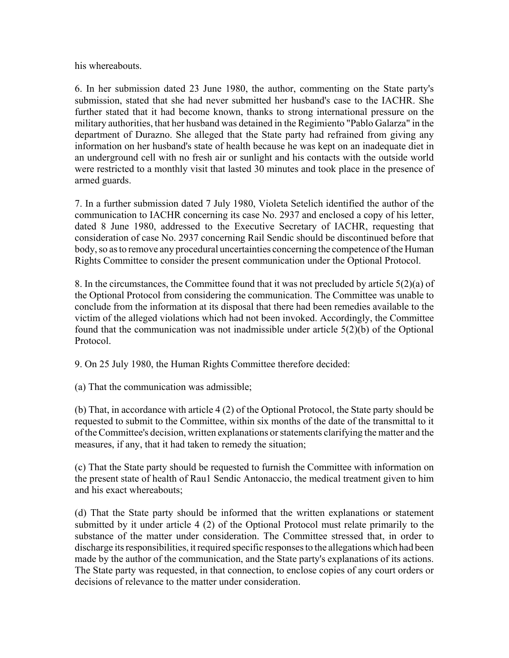his whereabouts.

6. In her submission dated 23 June 1980, the author, commenting on the State party's submission, stated that she had never submitted her husband's case to the IACHR. She further stated that it had become known, thanks to strong international pressure on the military authorities, that her husband was detained in the Regimiento "Pablo Galarza" in the department of Durazno. She alleged that the State party had refrained from giving any information on her husband's state of health because he was kept on an inadequate diet in an underground cell with no fresh air or sunlight and his contacts with the outside world were restricted to a monthly visit that lasted 30 minutes and took place in the presence of armed guards.

7. In a further submission dated 7 July 1980, Violeta Setelich identified the author of the communication to IACHR concerning its case No. 2937 and enclosed a copy of his letter, dated 8 June 1980, addressed to the Executive Secretary of IACHR, requesting that consideration of case No. 2937 concerning Rail Sendic should be discontinued before that body, so as to remove any procedural uncertainties concerning the competence of the Human Rights Committee to consider the present communication under the Optional Protocol.

8. In the circumstances, the Committee found that it was not precluded by article 5(2)(a) of the Optional Protocol from considering the communication. The Committee was unable to conclude from the information at its disposal that there had been remedies available to the victim of the alleged violations which had not been invoked. Accordingly, the Committee found that the communication was not inadmissible under article 5(2)(b) of the Optional Protocol.

9. On 25 July 1980, the Human Rights Committee therefore decided:

(a) That the communication was admissible;

(b) That, in accordance with article 4 (2) of the Optional Protocol, the State party should be requested to submit to the Committee, within six months of the date of the transmittal to it of the Committee's decision, written explanations or statements clarifying the matter and the measures, if any, that it had taken to remedy the situation;

(c) That the State party should be requested to furnish the Committee with information on the present state of health of Rau1 Sendic Antonaccio, the medical treatment given to him and his exact whereabouts;

(d) That the State party should be informed that the written explanations or statement submitted by it under article 4 (2) of the Optional Protocol must relate primarily to the substance of the matter under consideration. The Committee stressed that, in order to discharge its responsibilities, it required specific responses to the allegations which had been made by the author of the communication, and the State party's explanations of its actions. The State party was requested, in that connection, to enclose copies of any court orders or decisions of relevance to the matter under consideration.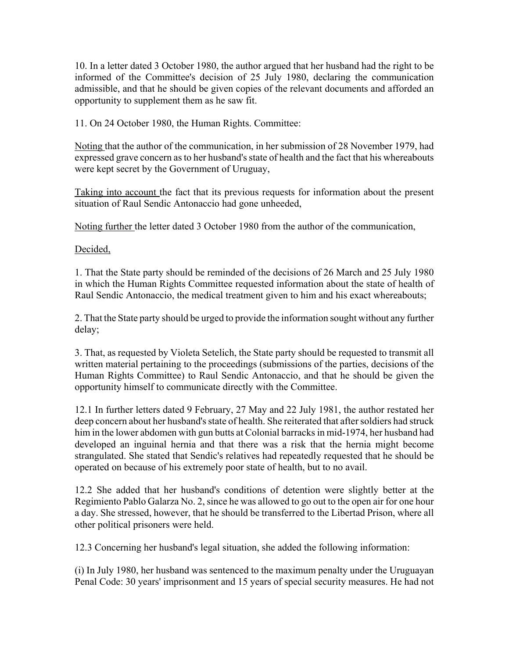10. In a letter dated 3 October 1980, the author argued that her husband had the right to be informed of the Committee's decision of 25 July 1980, declaring the communication admissible, and that he should be given copies of the relevant documents and afforded an opportunity to supplement them as he saw fit.

11. On 24 October 1980, the Human Rights. Committee:

Noting that the author of the communication, in her submission of 28 November 1979, had expressed grave concern as to her husband's state of health and the fact that his whereabouts were kept secret by the Government of Uruguay,

Taking into account the fact that its previous requests for information about the present situation of Raul Sendic Antonaccio had gone unheeded,

Noting further the letter dated 3 October 1980 from the author of the communication,

Decided,

1. That the State party should be reminded of the decisions of 26 March and 25 July 1980 in which the Human Rights Committee requested information about the state of health of Raul Sendic Antonaccio, the medical treatment given to him and his exact whereabouts;

2. That the State party should be urged to provide the information sought without any further delay;

3. That, as requested by Violeta Setelich, the State party should be requested to transmit all written material pertaining to the proceedings (submissions of the parties, decisions of the Human Rights Committee) to Raul Sendic Antonaccio, and that he should be given the opportunity himself to communicate directly with the Committee.

12.1 In further letters dated 9 February, 27 May and 22 July 1981, the author restated her deep concern about her husband's state of health. She reiterated that after soldiers had struck him in the lower abdomen with gun butts at Colonial barracks in mid-1974, her husband had developed an inguinal hernia and that there was a risk that the hernia might become strangulated. She stated that Sendic's relatives had repeatedly requested that he should be operated on because of his extremely poor state of health, but to no avail.

12.2 She added that her husband's conditions of detention were slightly better at the Regimiento Pablo Galarza No. 2, since he was allowed to go out to the open air for one hour a day. She stressed, however, that he should be transferred to the Libertad Prison, where all other political prisoners were held.

12.3 Concerning her husband's legal situation, she added the following information:

(i) In July 1980, her husband was sentenced to the maximum penalty under the Uruguayan Penal Code: 30 years' imprisonment and 15 years of special security measures. He had not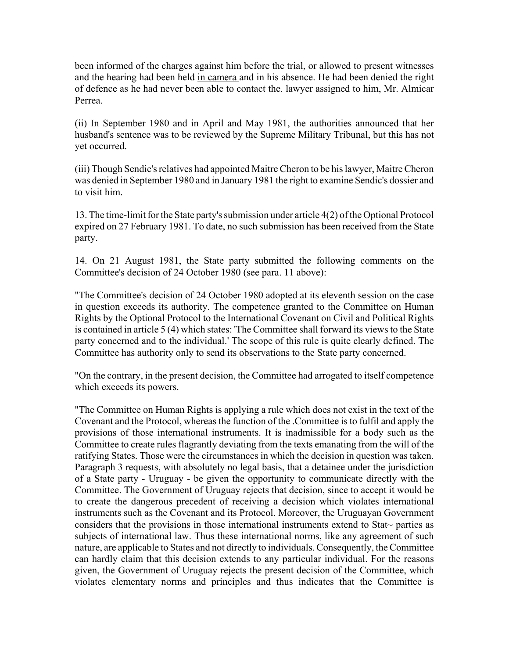been informed of the charges against him before the trial, or allowed to present witnesses and the hearing had been held in camera and in his absence. He had been denied the right of defence as he had never been able to contact the. lawyer assigned to him, Mr. Almicar Perrea.

(ii) In September 1980 and in April and May 1981, the authorities announced that her husband's sentence was to be reviewed by the Supreme Military Tribunal, but this has not yet occurred.

(iii) Though Sendic's relatives had appointed Maitre Cheron to be his lawyer, Maitre Cheron was denied in September 1980 and in January 1981 the right to examine Sendic's dossier and to visit him.

13. The time-limit for the State party's submission under article 4(2) of the Optional Protocol expired on 27 February 1981. To date, no such submission has been received from the State party.

14. On 21 August 1981, the State party submitted the following comments on the Committee's decision of 24 October 1980 (see para. 11 above):

"The Committee's decision of 24 October 1980 adopted at its eleventh session on the case in question exceeds its authority. The competence granted to the Committee on Human Rights by the Optional Protocol to the International Covenant on Civil and Political Rights is contained in article 5 (4) which states: 'The Committee shall forward its views to the State party concerned and to the individual.' The scope of this rule is quite clearly defined. The Committee has authority only to send its observations to the State party concerned.

"On the contrary, in the present decision, the Committee had arrogated to itself competence which exceeds its powers.

"The Committee on Human Rights is applying a rule which does not exist in the text of the Covenant and the Protocol, whereas the function of the .Committee is to fulfil and apply the provisions of those international instruments. It is inadmissible for a body such as the Committee to create rules flagrantly deviating from the texts emanating from the will of the ratifying States. Those were the circumstances in which the decision in question was taken. Paragraph 3 requests, with absolutely no legal basis, that a detainee under the jurisdiction of a State party - Uruguay - be given the opportunity to communicate directly with the Committee. The Government of Uruguay rejects that decision, since to accept it would be to create the dangerous precedent of receiving a decision which violates international instruments such as the Covenant and its Protocol. Moreover, the Uruguayan Government considers that the provisions in those international instruments extend to Stat~ parties as subjects of international law. Thus these international norms, like any agreement of such nature, are applicable to States and not directly to individuals. Consequently, the Committee can hardly claim that this decision extends to any particular individual. For the reasons given, the Government of Uruguay rejects the present decision of the Committee, which violates elementary norms and principles and thus indicates that the Committee is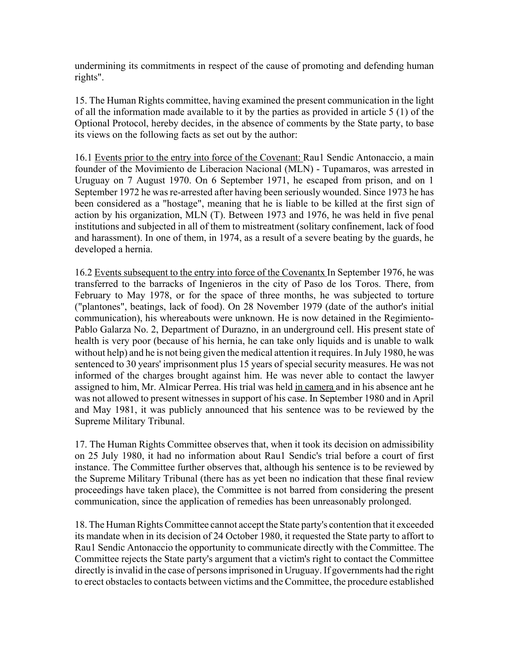undermining its commitments in respect of the cause of promoting and defending human rights".

15. The Human Rights committee, having examined the present communication in the light of all the information made available to it by the parties as provided in article 5 (1) of the Optional Protocol, hereby decides, in the absence of comments by the State party, to base its views on the following facts as set out by the author:

16.1 Events prior to the entry into force of the Covenant: Rau1 Sendic Antonaccio, a main founder of the Movimiento de Liberacion Nacional (MLN) - Tupamaros, was arrested in Uruguay on 7 August 1970. On 6 September 1971, he escaped from prison, and on 1 September 1972 he was re-arrested after having been seriously wounded. Since 1973 he has been considered as a "hostage", meaning that he is liable to be killed at the first sign of action by his organization, MLN (T). Between 1973 and 1976, he was held in five penal institutions and subjected in all of them to mistreatment (solitary confinement, lack of food and harassment). In one of them, in 1974, as a result of a severe beating by the guards, he developed a hernia.

16.2 Events subsequent to the entry into force of the Covenantx In September 1976, he was transferred to the barracks of Ingenieros in the city of Paso de los Toros. There, from February to May 1978, or for the space of three months, he was subjected to torture ("plantones", beatings, lack of food). On 28 November 1979 (date of the author's initial communication), his whereabouts were unknown. He is now detained in the Regimiento-Pablo Galarza No. 2, Department of Durazno, in an underground cell. His present state of health is very poor (because of his hernia, he can take only liquids and is unable to walk without help) and he is not being given the medical attention it requires. In July 1980, he was sentenced to 30 years' imprisonment plus 15 years of special security measures. He was not informed of the charges brought against him. He was never able to contact the lawyer assigned to him, Mr. Almicar Perrea. His trial was held in camera and in his absence ant he was not allowed to present witnesses in support of his case. In September 1980 and in April and May 1981, it was publicly announced that his sentence was to be reviewed by the Supreme Military Tribunal.

17. The Human Rights Committee observes that, when it took its decision on admissibility on 25 July 1980, it had no information about Rau1 Sendic's trial before a court of first instance. The Committee further observes that, although his sentence is to be reviewed by the Supreme Military Tribunal (there has as yet been no indication that these final review proceedings have taken place), the Committee is not barred from considering the present communication, since the application of remedies has been unreasonably prolonged.

18. The Human Rights Committee cannot accept the State party's contention that it exceeded its mandate when in its decision of 24 October 1980, it requested the State party to affort to Rau1 Sendic Antonaccio the opportunity to communicate directly with the Committee. The Committee rejects the State party's argument that a victim's right to contact the Committee directly is invalid in the case of persons imprisoned in Uruguay. If governments had the right to erect obstacles to contacts between victims and the Committee, the procedure established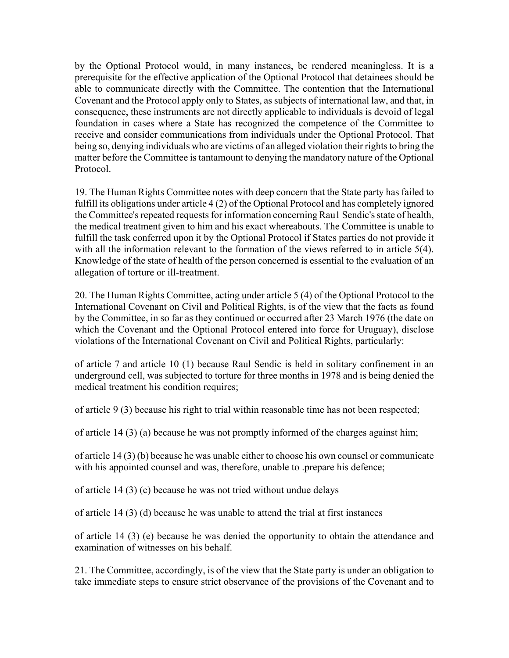by the Optional Protocol would, in many instances, be rendered meaningless. It is a prerequisite for the effective application of the Optional Protocol that detainees should be able to communicate directly with the Committee. The contention that the International Covenant and the Protocol apply only to States, as subjects of international law, and that, in consequence, these instruments are not directly applicable to individuals is devoid of legal foundation in cases where a State has recognized the competence of the Committee to receive and consider communications from individuals under the Optional Protocol. That being so, denying individuals who are victims of an alleged violation their rights to bring the matter before the Committee is tantamount to denying the mandatory nature of the Optional Protocol.

19. The Human Rights Committee notes with deep concern that the State party has failed to fulfill its obligations under article 4 (2) of the Optional Protocol and has completely ignored the Committee's repeated requests for information concerning Rau1 Sendic's state of health, the medical treatment given to him and his exact whereabouts. The Committee is unable to fulfill the task conferred upon it by the Optional Protocol if States parties do not provide it with all the information relevant to the formation of the views referred to in article 5(4). Knowledge of the state of health of the person concerned is essential to the evaluation of an allegation of torture or ill-treatment.

20. The Human Rights Committee, acting under article 5 (4) of the Optional Protocol to the International Covenant on Civil and Political Rights, is of the view that the facts as found by the Committee, in so far as they continued or occurred after 23 March 1976 (the date on which the Covenant and the Optional Protocol entered into force for Uruguay), disclose violations of the International Covenant on Civil and Political Rights, particularly:

of article 7 and article 10 (1) because Raul Sendic is held in solitary confinement in an underground cell, was subjected to torture for three months in 1978 and is being denied the medical treatment his condition requires;

of article 9 (3) because his right to trial within reasonable time has not been respected;

of article 14 (3) (a) because he was not promptly informed of the charges against him;

of article 14 (3) (b) because he was unable either to choose his own counsel or communicate with his appointed counsel and was, therefore, unable to .prepare his defence;

of article 14 (3) (c) because he was not tried without undue delays

of article 14 (3) (d) because he was unable to attend the trial at first instances

of article 14 (3) (e) because he was denied the opportunity to obtain the attendance and examination of witnesses on his behalf.

21. The Committee, accordingly, is of the view that the State party is under an obligation to take immediate steps to ensure strict observance of the provisions of the Covenant and to